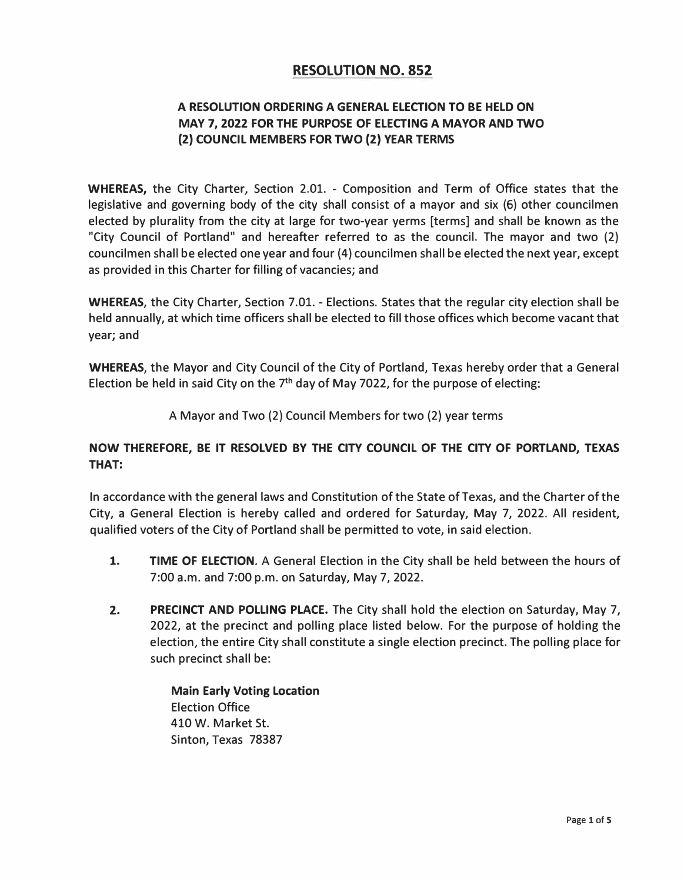# **RESOLUTION NO. 852**

### **A RESOLUTION ORDERING A GENERAL ELECTION TO BE HELD ON MAY 7, 2022 FOR THE PURPOSE OF ELECTING A MAYOR AND TWO (2) COUNCIL MEMBERS FOR TWO (2) YEAR TERMS**

**WHEREAS,** the City Charter, Section 2.01. - Composition and Term of Office states that the legislative and governing body of the city shall consist of a mayor and six (6) other councilmen elected by plurality from the city at large for two-year yerms [terms] and shall be known as the "City Council of Portland" and hereafter referred to as the council. The mayor and two (2) councilmen shall be elected one year and four (4) councilmen shall be elected the next year, except as provided in this Charter for filling of vacancies; and

**WHEREAS,** the City Charter, Section 7.01. - Elections. States that the regular city election shall be held annually, at which time officers shall be elected to fill those offices which become vacant that year; and

**WHEREAS,** the Mayor and City Council of the City of Portland, Texas hereby order that a General Election be held in said City on the 7<sup>th</sup> day of May 7022, for the purpose of electing:

A Mayor and Two (2) Council Members for two (2) year terms

#### **NOW THEREFORE, BE IT RESOLVED BY THE CITY COUNCIL OF THE CITY OF PORTLAND, TEXAS THAT:**

In accordance with the general laws and Constitution of the State of Texas, and the Charter of the City, a General Election is hereby called and ordered for Saturday, May 7, 2022. All resident, qualified voters of the City of Portland shall be permitted to vote, in said election.

- **1. TIME OF ELECTION.** A General Election in the City shall be held between the hours of 7:00 a.m. and 7:00 p.m. on Saturday, May 7, 2022.
- **2. PRECINCT AND POLLING PLACE.** The City shall hold the election on Saturday, May 7, 2022, at the precinct and polling place listed below. For the purpose of holding the election, the entire City shall constitute a single election precinct. The polling place for such precinct shall be:

**Main Early Voting Location**  Election Office 410 W. Market St. Sinton, Texas 78387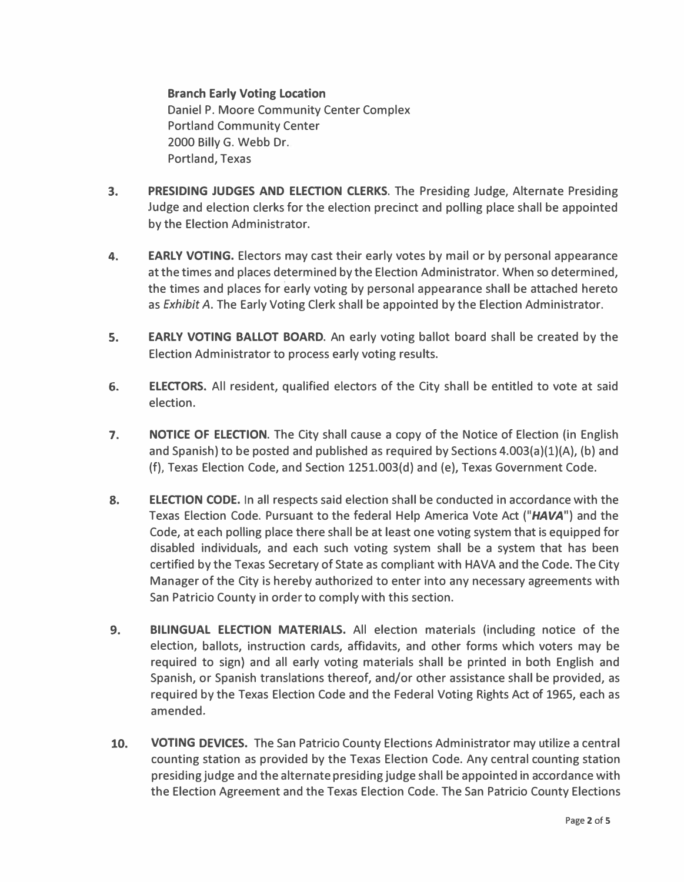**Branch Early Voting Location Daniel P. Moore Community Center Complex Portland Community Center 2000 Billy G. Webb Dr. Portland, Texas** 

- **3. PRESIDING JUDGES AND ELECTION CLERKS. The Presiding Judge, Alternate Presiding Judge and election clerks for the election precinct and polling place shall be appointed by the Election Administrator.**
- **4. EARLY VOTING. Electors may cast their early votes by mail or by personal appearance at the times and places determined by the Election Administrator. When so determined, the times and places for early voting by personal appearance shall be attached hereto as** *Exhibit* **A. The Early Voting Clerk shall be appointed by the Election Administrator.**
- **S. EARLY VOTING BALLOT BOARD. An early voting ballot board shall be created by the Election Administrator to process early voting results.**
- **6. ELECTORS. All resident, qualified electors of the City shall be entitled to vote at said election.**
- **7. NOTICE OF ELECTION. The City shall cause a copy of the Notice of Election (in English and Spanish) to be posted and published as required by Sections 4.003(a)(l)(A), (b) and (f), Texas Election Code, and Section 1251.003(d) and (e), Texas Government Code.**
- **8. ELECTION CODE. In all respects said election shall be conducted in accordance with the Texas Election Code. Pursuant to the federal Help America Vote Act** *("HAVA")* **and the Code, at each polling place there shall be at least one voting system that is equipped for disabled individuals, and each such voting system shall be a system that has been certified by the Texas Secretary of State as compliant with HAVA and the Code. The City Manager of the City is hereby authorized to enter into any necessary agreements with San Patricio County in order to comply with this section.**
- **9. BILINGUAL ELECTION MATERIALS. All election materials (including notice of the election, ballots, instruction cards, affidavits, and other forms which voters may be required to sign} and all early voting materials shall be printed in both English and Spanish, or Spanish translations thereof, and/or other assistance shall be provided, as required by the Texas Election Code and the Federal Voting Rights Act of 1965, each as amended.**
- **10. VOTING DEVICES. The San Patricio County Elections Administrator may utilize a central counting station as provided by the Texas Election Code. Any central counting station presiding judge and the alternate presiding judge shall be appointed in accordance with the Election Agreement and the Texas Election Code. The San Patricio County Elections**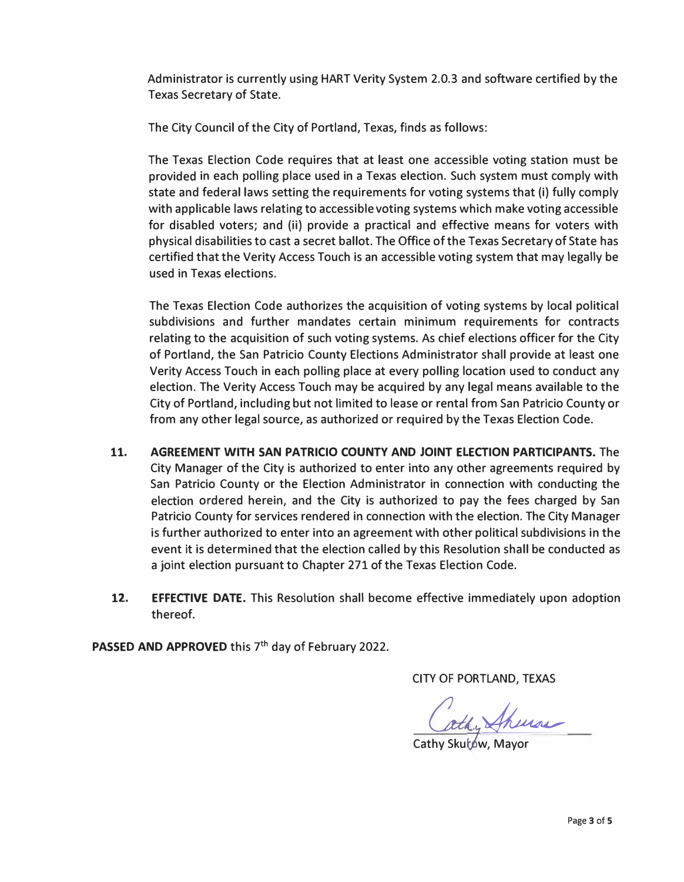**Administrator is currently using HART Verity System 2.0.3 and software certified by the Texas Secretary of State.** 

**The City Council of the City of Portland, Texas, finds as follows:** 

**The Texas Election Code requires that at least one accessible voting station must be provided in each polling place used in a Texas election. Such system must comply with state and federal laws setting the requirements for voting systems that (i) fully comply with applicable laws relating to accessible voting systems which make voting accessible for disabled voters; and (ii) provide a practical and effective means for voters with physical disabilities to cast a secret ballot. The Office of the Texas Secretary of State has certified that the Verity Access Touch is an accessible voting system that may legally be used in Texas elections.** 

**The Texas Election Code authorizes the acquisition of voting systems by local political subdivisions and further mandates certain minimum requirements for contracts relating to the acquisition of such voting systems. As chief elections officer for the City of Portland, the San Patricio County Elections Administrator shall provide at least one Verity Access Touch in each polling place at every polling location used to conduct any election. The Verity Access Touch may be acquired by any legal means available to the City of Portland, including but not limited to lease or rental from San Patricio County or from any other legal source, as authorized or required by the Texas Election Code.** 

- **11. AGREEMENT WITH SAN PATRICIO COUNTY AND JOINT ELECTION PARTICIPANTS. The City Manager of the City is authorized to enter into any other agreements required by San Patricio County or the Election Administrator in connection with conducting the election ordered herein, and the City is authorized to pay the fees charged by San Patricio County for services rendered in connection with the election. The City Manager is further authorized to enter into an agreement with other political subdivisions in the event it is determined that the election called by this Resolution shall be conducted as a joint election pursuant to Chapter 271 of the Texas Election Code.**
- **12. EFFECTIVE DATE. This Resolution shall become effective immediately upon adoption thereof.**

PASSED AND APPROVED this 7<sup>th</sup> day of February 2022.

**CITY OF PORTLAND, TEXAS** 

augustin

Cathy Skutow, Mayor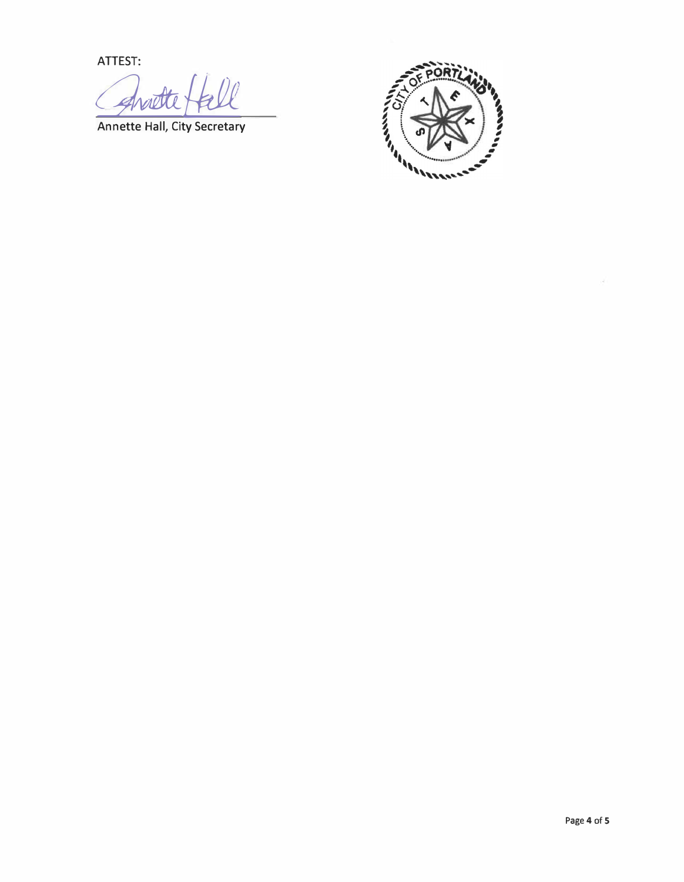**ATTEST:** 

Annette Hall